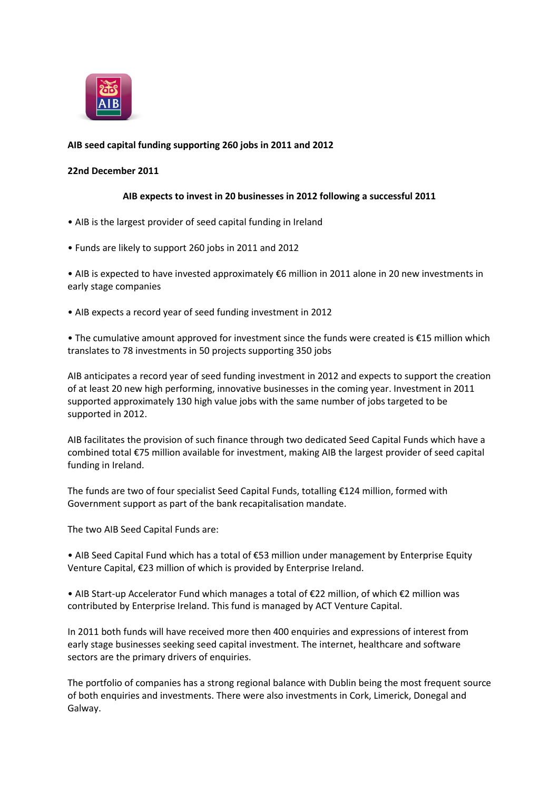

# **AIB seed capital funding supporting 260 jobs in 2011 and 2012**

### **22nd December 2011**

### **AIB expects to invest in 20 businesses in 2012 following a successful 2011**

- AIB is the largest provider of seed capital funding in Ireland
- Funds are likely to support 260 jobs in 2011 and 2012

• AIB is expected to have invested approximately €6 million in 2011 alone in 20 new investments in early stage companies

• AIB expects a record year of seed funding investment in 2012

• The cumulative amount approved for investment since the funds were created is €15 million which translates to 78 investments in 50 projects supporting 350 jobs

AIB anticipates a record year of seed funding investment in 2012 and expects to support the creation of at least 20 new high performing, innovative businesses in the coming year. Investment in 2011 supported approximately 130 high value jobs with the same number of jobs targeted to be supported in 2012.

AIB facilitates the provision of such finance through two dedicated Seed Capital Funds which have a combined total €75 million available for investment, making AIB the largest provider of seed capital funding in Ireland.

The funds are two of four specialist Seed Capital Funds, totalling €124 million, formed with Government support as part of the bank recapitalisation mandate.

The two AIB Seed Capital Funds are:

• AIB Seed Capital Fund which has a total of €53 million under management by Enterprise Equity Venture Capital, €23 million of which is provided by Enterprise Ireland.

• AIB Start-up Accelerator Fund which manages a total of €22 million, of which €2 million was contributed by Enterprise Ireland. This fund is managed by ACT Venture Capital.

In 2011 both funds will have received more then 400 enquiries and expressions of interest from early stage businesses seeking seed capital investment. The internet, healthcare and software sectors are the primary drivers of enquiries.

The portfolio of companies has a strong regional balance with Dublin being the most frequent source of both enquiries and investments. There were also investments in Cork, Limerick, Donegal and Galway.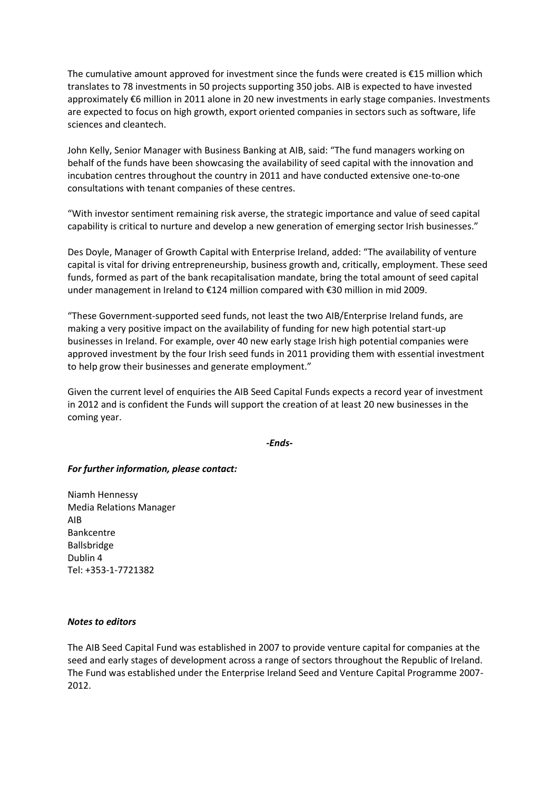The cumulative amount approved for investment since the funds were created is €15 million which translates to 78 investments in 50 projects supporting 350 jobs. AIB is expected to have invested approximately €6 million in 2011 alone in 20 new investments in early stage companies. Investments are expected to focus on high growth, export oriented companies in sectors such as software, life sciences and cleantech.

John Kelly, Senior Manager with Business Banking at AIB, said: "The fund managers working on behalf of the funds have been showcasing the availability of seed capital with the innovation and incubation centres throughout the country in 2011 and have conducted extensive one-to-one consultations with tenant companies of these centres.

"With investor sentiment remaining risk averse, the strategic importance and value of seed capital capability is critical to nurture and develop a new generation of emerging sector Irish businesses."

Des Doyle, Manager of Growth Capital with Enterprise Ireland, added: "The availability of venture capital is vital for driving entrepreneurship, business growth and, critically, employment. These seed funds, formed as part of the bank recapitalisation mandate, bring the total amount of seed capital under management in Ireland to €124 million compared with €30 million in mid 2009.

"These Government-supported seed funds, not least the two AIB/Enterprise Ireland funds, are making a very positive impact on the availability of funding for new high potential start-up businesses in Ireland. For example, over 40 new early stage Irish high potential companies were approved investment by the four Irish seed funds in 2011 providing them with essential investment to help grow their businesses and generate employment."

Given the current level of enquiries the AIB Seed Capital Funds expects a record year of investment in 2012 and is confident the Funds will support the creation of at least 20 new businesses in the coming year.

*-Ends-*

## *For further information, please contact:*

Niamh Hennessy Media Relations Manager AIB Bankcentre Ballsbridge Dublin 4 Tel: +353-1-7721382

#### *Notes to editors*

The AIB Seed Capital Fund was established in 2007 to provide venture capital for companies at the seed and early stages of development across a range of sectors throughout the Republic of Ireland. The Fund was established under the Enterprise Ireland Seed and Venture Capital Programme 2007- 2012.